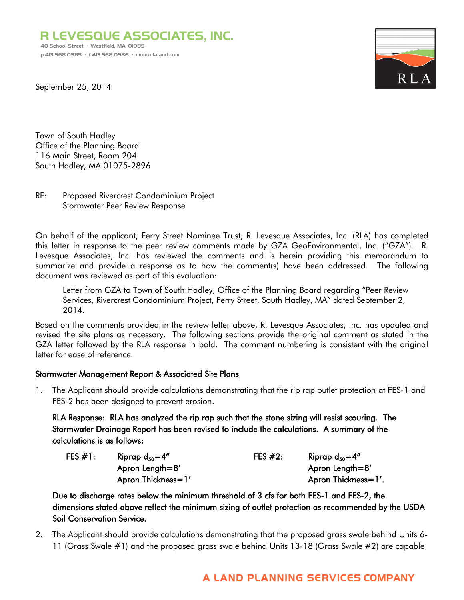R LEVESQUE ASSOCIATES, INC. 40 School Street · Westfield, MA 01085 p 413.568.0985 · f 413.568.0986 · www.rlaland.com



September 25, 2014

Town of South Hadley Office of the Planning Board 116 Main Street, Room 204 South Hadley, MA 01075-2896

### RE: Proposed Rivercrest Condominium Project Stormwater Peer Review Response

On behalf of the applicant, Ferry Street Nominee Trust, R. Levesque Associates, Inc. (RLA) has completed this letter in response to the peer review comments made by GZA GeoEnvironmental, Inc. ("GZA"). R. Levesque Associates, Inc. has reviewed the comments and is herein providing this memorandum to summarize and provide a response as to how the comment(s) have been addressed. The following document was reviewed as part of this evaluation:

Letter from GZA to Town of South Hadley, Office of the Planning Board regarding "Peer Review Services, Rivercrest Condominium Project, Ferry Street, South Hadley, MA" dated September 2, 2014.

Based on the comments provided in the review letter above, R. Levesque Associates, Inc. has updated and revised the site plans as necessary. The following sections provide the original comment as stated in the GZA letter followed by the RLA response in bold. The comment numbering is consistent with the original letter for ease of reference.

## **Stormwater Management Report & Associated Site Plans**

1. The Applicant should provide calculations demonstrating that the rip rap outlet protection at FES-1 and FES-2 has been designed to prevent erosion.

RLA Response: RLA has analyzed the rip rap such that the stone sizing will resist scouring. The Stormwater Drainage Report has been revised to include the calculations. A summary of the calculations is as follows:

| FES $#1$ : | Riprap $d_{50} = 4''$ | FES $#2:$ | Riprap $d_{50} = 4$ " |
|------------|-----------------------|-----------|-----------------------|
|            | Apron Length= $8'$    |           | Apron Length= $8'$    |
|            | Apron Thickness=1'    |           | Apron Thickness=1'.   |

Due to discharge rates below the minimum threshold of 3 cfs for both FES-1 and FES-2, the dimensions stated above reflect the minimum sizing of outlet protection as recommended by the USDA Soil Conservation Service.

2. The Applicant should provide calculations demonstrating that the proposed grass swale behind Units 6- 11 (Grass Swale #1) and the proposed grass swale behind Units 13-18 (Grass Swale #2) are capable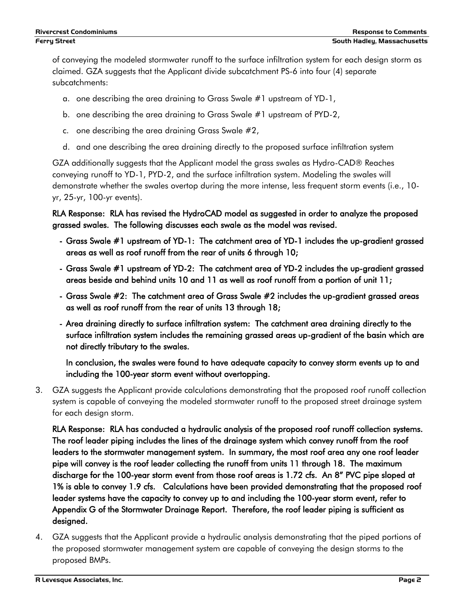of conveying the modeled stormwater runoff to the surface infiltration system for each design storm as claimed. GZA suggests that the Applicant divide subcatchment PS-6 into four (4) separate subcatchments:

- a. one describing the area draining to Grass Swale #1 upstream of YD-1,
- b. one describing the area draining to Grass Swale #1 upstream of PYD-2,
- c. one describing the area draining Grass Swale #2,
- d. and one describing the area draining directly to the proposed surface infiltration system

GZA additionally suggests that the Applicant model the grass swales as Hydro-CAD® Reaches conveying runoff to YD-1, PYD-2, and the surface infiltration system. Modeling the swales will demonstrate whether the swales overtop during the more intense, less frequent storm events (i.e., 10 yr, 25-yr, 100-yr events).

RLA Response: RLA has revised the HydroCAD model as suggested in order to analyze the proposed grassed swales. The following discusses each swale as the model was revised.

- Grass Swale #1 upstream of YD-1: The catchment area of YD-1 includes the up-gradient grassed areas as well as roof runoff from the rear of units 6 through 10;
- Grass Swale #1 upstream of YD-2: The catchment area of YD-2 includes the up-gradient grassed areas beside and behind units 10 and 11 as well as roof runoff from a portion of unit 11;
- Grass Swale #2: The catchment area of Grass Swale #2 includes the up-gradient grassed areas as well as roof runoff from the rear of units 13 through 18;
- Area draining directly to surface infiltration system: The catchment area draining directly to the surface infiltration system includes the remaining grassed areas up-gradient of the basin which are not directly tributary to the swales.

In conclusion, the swales were found to have adequate capacity to convey storm events up to and including the 100-year storm event without overtopping.

3. GZA suggests the Applicant provide calculations demonstrating that the proposed roof runoff collection system is capable of conveying the modeled stormwater runoff to the proposed street drainage system for each design storm.

RLA Response: RLA has conducted a hydraulic analysis of the proposed roof runoff collection systems. The roof leader piping includes the lines of the drainage system which convey runoff from the roof leaders to the stormwater management system. In summary, the most roof area any one roof leader pipe will convey is the roof leader collecting the runoff from units 11 through 18. The maximum discharge for the 100-year storm event from those roof areas is 1.72 cfs. An 8" PVC pipe sloped at 1% is able to convey 1.9 cfs. Calculations have been provided demonstrating that the proposed roof leader systems have the capacity to convey up to and including the 100-year storm event, refer to Appendix G of the Stormwater Drainage Report. Therefore, the roof leader piping is sufficient as designed.

4. GZA suggests that the Applicant provide a hydraulic analysis demonstrating that the piped portions of the proposed stormwater management system are capable of conveying the design storms to the proposed BMPs.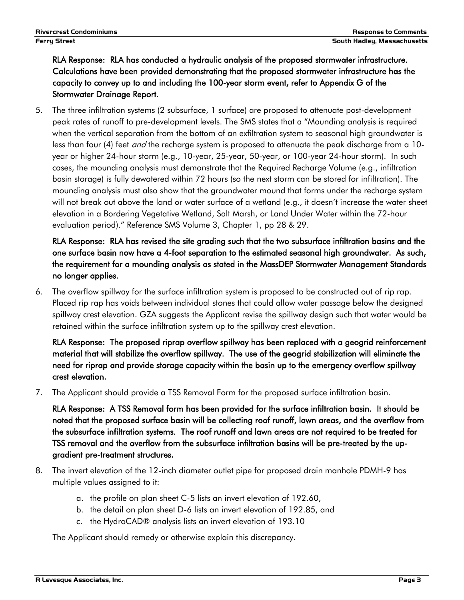# RLA Response: RLA has conducted a hydraulic analysis of the proposed stormwater infrastructure. Calculations have been provided demonstrating that the proposed stormwater infrastructure has the capacity to convey up to and including the 100-year storm event, refer to Appendix G of the Stormwater Drainage Report.

5. The three infiltration systems (2 subsurface, 1 surface) are proposed to attenuate post-development peak rates of runoff to pre-development levels. The SMS states that a "Mounding analysis is required when the vertical separation from the bottom of an exfiltration system to seasonal high groundwater is less than four (4) feet *and* the recharge system is proposed to attenuate the peak discharge from a 10year or higher 24-hour storm (e.g., 10-year, 25-year, 50-year, or 100-year 24-hour storm). In such cases, the mounding analysis must demonstrate that the Required Recharge Volume (e.g., infiltration basin storage) is fully dewatered within 72 hours (so the next storm can be stored for infiltration). The mounding analysis must also show that the groundwater mound that forms under the recharge system will not break out above the land or water surface of a wetland (e.g., it doesn't increase the water sheet elevation in a Bordering Vegetative Wetland, Salt Marsh, or Land Under Water within the 72-hour evaluation period)." Reference SMS Volume 3, Chapter 1, pp 28 & 29.

RLA Response: RLA has revised the site grading such that the two subsurface infiltration basins and the one surface basin now have a 4-foot separation to the estimated seasonal high groundwater. As such, the requirement for a mounding analysis as stated in the MassDEP Stormwater Management Standards no longer applies.

6. The overflow spillway for the surface infiltration system is proposed to be constructed out of rip rap. Placed rip rap has voids between individual stones that could allow water passage below the designed spillway crest elevation. GZA suggests the Applicant revise the spillway design such that water would be retained within the surface infiltration system up to the spillway crest elevation.

RLA Response: The proposed riprap overflow spillway has been replaced with a geogrid reinforcement material that will stabilize the overflow spillway. The use of the geogrid stabilization will eliminate the need for riprap and provide storage capacity within the basin up to the emergency overflow spillway crest elevation.

7. The Applicant should provide a TSS Removal Form for the proposed surface infiltration basin.

RLA Response: A TSS Removal form has been provided for the surface infiltration basin. It should be noted that the proposed surface basin will be collecting roof runoff, lawn areas, and the overflow from the subsurface infiltration systems. The roof runoff and lawn areas are not required to be treated for TSS removal and the overflow from the subsurface infiltration basins will be pre-treated by the upgradient pre-treatment structures.

- 8. The invert elevation of the 12-inch diameter outlet pipe for proposed drain manhole PDMH-9 has multiple values assigned to it:
	- a. the profile on plan sheet C-5 lists an invert elevation of 192.60,
	- b. the detail on plan sheet D-6 lists an invert elevation of 192.85, and
	- c. the HydroCAD® analysis lists an invert elevation of 193.10

The Applicant should remedy or otherwise explain this discrepancy.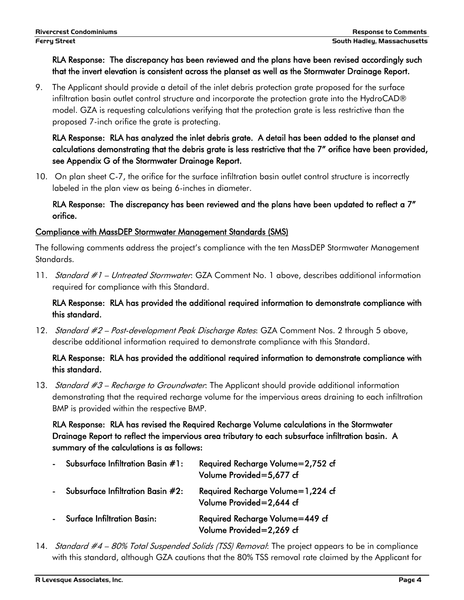# RLA Response: The discrepancy has been reviewed and the plans have been revised accordingly such that the invert elevation is consistent across the planset as well as the Stormwater Drainage Report.

9. The Applicant should provide a detail of the inlet debris protection grate proposed for the surface infiltration basin outlet control structure and incorporate the protection grate into the HydroCAD® model. GZA is requesting calculations verifying that the protection grate is less restrictive than the proposed 7-inch orifice the grate is protecting.

# RLA Response: RLA has analyzed the inlet debris grate. A detail has been added to the planset and calculations demonstrating that the debris grate is less restrictive that the 7" orifice have been provided, see Appendix G of the Stormwater Drainage Report.

10. On plan sheet C-7, the orifice for the surface infiltration basin outlet control structure is incorrectly labeled in the plan view as being 6-inches in diameter.

# RLA Response: The discrepancy has been reviewed and the plans have been updated to reflect a 7" orifice.

## Compliance with MassDEP Stormwater Management Standards (SMS)

The following comments address the project's compliance with the ten MassDEP Stormwater Management Standards.

11. Standard #1 – Untreated Stormwater: GZA Comment No. 1 above, describes additional information required for compliance with this Standard.

# RLA Response: RLA has provided the additional required information to demonstrate compliance with this standard.

12. Standard #2 – Post-development Peak Discharge Rates: GZA Comment Nos. 2 through 5 above, describe additional information required to demonstrate compliance with this Standard.

# RLA Response: RLA has provided the additional required information to demonstrate compliance with this standard.

13. Standard  $#3$  – Recharge to Groundwater: The Applicant should provide additional information demonstrating that the required recharge volume for the impervious areas draining to each infiltration BMP is provided within the respective BMP.

RLA Response: RLA has revised the Required Recharge Volume calculations in the Stormwater Drainage Report to reflect the impervious area tributary to each subsurface infiltration basin. A summary of the calculations is as follows:

| Subsurface Infiltration Basin #1:  | Required Recharge Volume=2,752 cf<br>Volume Provided=5,677 cf |
|------------------------------------|---------------------------------------------------------------|
| Subsurface Infiltration Basin #2:  | Required Recharge Volume=1,224 cf<br>Volume Provided=2,644 cf |
| <b>Surface Infiltration Basin:</b> | Required Recharge Volume=449 cf<br>Volume Provided=2,269 cf   |

14. Standard #4 – 80% Total Suspended Solids (TSS) Removal: The project appears to be in compliance with this standard, although GZA cautions that the 80% TSS removal rate claimed by the Applicant for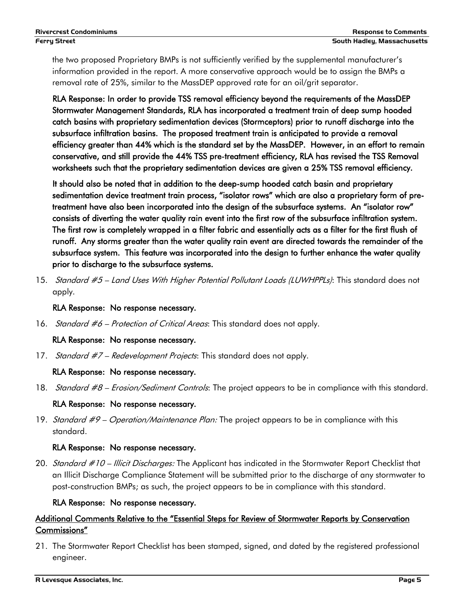the two proposed Proprietary BMPs is not sufficiently verified by the supplemental manufacturer's information provided in the report. A more conservative approach would be to assign the BMPs a removal rate of 25%, similar to the MassDEP approved rate for an oil/grit separator.

RLA Response: In order to provide TSS removal efficiency beyond the requirements of the MassDEP Stormwater Management Standards, RLA has incorporated a treatment train of deep sump hooded catch basins with proprietary sedimentation devices (Stormceptors) prior to runoff discharge into the subsurface infiltration basins. The proposed treatment train is anticipated to provide a removal efficiency greater than 44% which is the standard set by the MassDEP. However, in an effort to remain conservative, and still provide the 44% TSS pre-treatment efficiency, RLA has revised the TSS Removal worksheets such that the proprietary sedimentation devices are given a 25% TSS removal efficiency.

It should also be noted that in addition to the deep-sump hooded catch basin and proprietary sedimentation device treatment train process, "isolator rows" which are also a proprietary form of pretreatment have also been incorporated into the design of the subsurface systems. An "isolator row" consists of diverting the water quality rain event into the first row of the subsurface infiltration system. The first row is completely wrapped in a filter fabric and essentially acts as a filter for the first flush of runoff. Any storms greater than the water quality rain event are directed towards the remainder of the subsurface system. This feature was incorporated into the design to further enhance the water quality prior to discharge to the subsurface systems.

15. Standard #5 – Land Uses With Higher Potential Pollutant Loads (LUWHPPLs): This standard does not apply.

## RLA Response: No response necessary.

16. *Standard #6 – Protection of Critical Areas*: This standard does not apply.

## RLA Response: No response necessary.

17. Standard #7 – Redevelopment Projects: This standard does not apply.

## RLA Response: No response necessary.

18. Standard #8 – Erosion/Sediment Controls: The project appears to be in compliance with this standard.

## RLA Response: No response necessary.

19. Standard #9 – Operation/Maintenance Plan: The project appears to be in compliance with this standard.

## RLA Response: No response necessary.

20. Standard #10 – Illicit Discharges: The Applicant has indicated in the Stormwater Report Checklist that an Illicit Discharge Compliance Statement will be submitted prior to the discharge of any stormwater to post-construction BMPs; as such, the project appears to be in compliance with this standard.

## RLA Response: No response necessary.

# Additional Comments Relative to the "Essential Steps for Review of Stormwater Reports by Conservation Commissions"

21. The Stormwater Report Checklist has been stamped, signed, and dated by the registered professional engineer.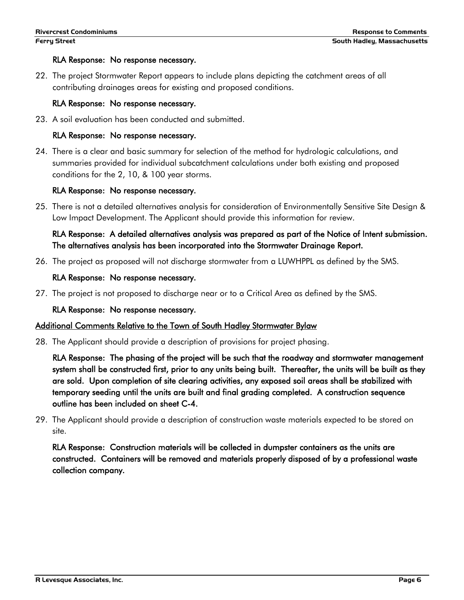### RLA Response: No response necessary.

22. The project Stormwater Report appears to include plans depicting the catchment areas of all contributing drainages areas for existing and proposed conditions.

## RLA Response: No response necessary.

23. A soil evaluation has been conducted and submitted.

### RLA Response: No response necessary.

24. There is a clear and basic summary for selection of the method for hydrologic calculations, and summaries provided for individual subcatchment calculations under both existing and proposed conditions for the 2, 10, & 100 year storms.

#### RLA Response: No response necessary.

25. There is not a detailed alternatives analysis for consideration of Environmentally Sensitive Site Design & Low Impact Development. The Applicant should provide this information for review.

# RLA Response: A detailed alternatives analysis was prepared as part of the Notice of Intent submission. The alternatives analysis has been incorporated into the Stormwater Drainage Report.

26. The project as proposed will not discharge stormwater from a LUWHPPL as defined by the SMS.

#### RLA Response: No response necessary.

27. The project is not proposed to discharge near or to a Critical Area as defined by the SMS.

## RLA Response: No response necessary.

## Additional Comments Relative to the Town of South Hadley Stormwater Bylaw

28. The Applicant should provide a description of provisions for project phasing.

RLA Response: The phasing of the project will be such that the roadway and stormwater management system shall be constructed first, prior to any units being built. Thereafter, the units will be built as they are sold. Upon completion of site clearing activities, any exposed soil areas shall be stabilized with temporary seeding until the units are built and final grading completed. A construction sequence outline has been included on sheet C-4.

29. The Applicant should provide a description of construction waste materials expected to be stored on site.

RLA Response: Construction materials will be collected in dumpster containers as the units are constructed. Containers will be removed and materials properly disposed of by a professional waste collection company.